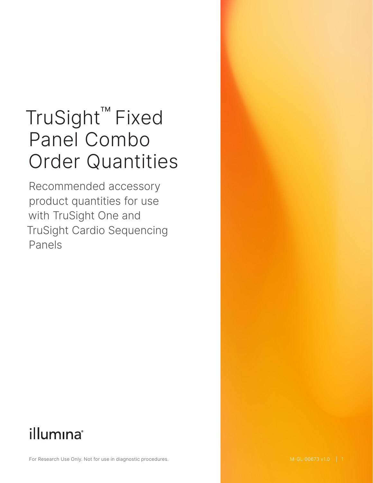# TruSight™ Fixed Panel Combo Order Quantities

Recommended accessory product quantities for use with TruSight One and TruSight Cardio Sequencing Panels

## illumina®

For Research Use Only. Not for use in diagnostic procedures.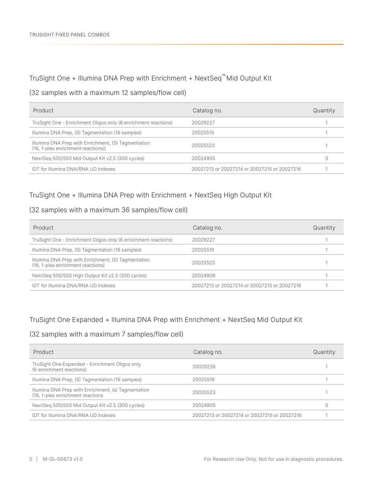#### TruSight One + Illumina DNA Prep with Enrichment + NextSeq™ Mid Output Kit

#### (32 samples with a maximum 12 samples/flow cell)

| Product                                                                                   | Catalog no.                                  | Quantity |
|-------------------------------------------------------------------------------------------|----------------------------------------------|----------|
| TruSight One - Enrichment Oligos only (6 enrichment reactions)                            | 20029227                                     |          |
| Illumina DNA Prep, (S) Tagmentation (16 samples)                                          | 20025519                                     |          |
| Illumina DNA Prep with Enrichment, (S) Tagmentation<br>(16, 1-plex enrichment reactions)) | 20025523                                     |          |
| NextSeq 500/550 Mid Output Kit v2.5 (300 cycles)                                          | 20024905                                     |          |
| IDT for Illumina DNA/RNA UD Indexes                                                       | 20027213 or 20027214 or 20027215 or 20027216 |          |

#### TruSight One + Illumina DNA Prep with Enrichment + NextSeq High Output Kit

#### (32 samples with a maximum 36 samples/flow cell)

| Product                                                                                  | Catalog no.                                  | Quantity |
|------------------------------------------------------------------------------------------|----------------------------------------------|----------|
| TruSight One - Enrichment Oligos only (6 enrichment reactions)                           | 20029227                                     |          |
| Illumina DNA Prep, (S) Tagmentation (16 samples)                                         | 20025519                                     |          |
| Illumina DNA Prep with Enrichment, (S) Tagmentation<br>(16, 1-plex enrichment reactions) | 20025523                                     |          |
| NextSeg 500/550 High Output Kit v2.5 (300 cycles)                                        | 20024908                                     |          |
| IDT for Illumina DNA/RNA UD Indexes                                                      | 20027213 or 20027214 or 20027215 or 20027216 |          |

#### TruSight One Expanded + Illumina DNA Prep with Enrichment + NextSeq Mid Output Kit

#### (32 samples with a maximum 7 samples/flow cell)

| Product                                                                                 | Catalog no.                                  | Quantity |
|-----------------------------------------------------------------------------------------|----------------------------------------------|----------|
| TruSight One Expanded - Enrichment Oligos only<br>(6 enrichment reactions)              | 20029226                                     |          |
| Illumina DNA Prep, (S) Tagmentation (16 samples)                                        | 20025519                                     |          |
| Illumina DNA Prep with Enrichment, (s) Tagmentation<br>(16, 1-plex enrichment reactions | 20025523                                     |          |
| NextSeq 500/550 Mid Output Kit v2.5 (300 cycles)                                        | 20024905                                     | h        |
| IDT for Illumina DNA/RNA UD Indexes                                                     | 20027213 or 20027214 or 20027215 or 20027216 |          |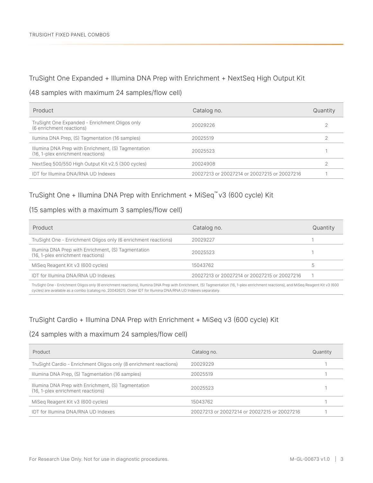#### TruSight One Expanded + Illumina DNA Prep with Enrichment + NextSeq High Output Kit

#### (48 samples with maximum 24 samples/flow cell)

| Product                                                                                  | Catalog no.                                  | Quantity |
|------------------------------------------------------------------------------------------|----------------------------------------------|----------|
| TruSight One Expanded - Enrichment Oligos only<br>(6 enrichment reactions)               | 20029226                                     |          |
| Ilumina DNA Prep, (S) Tagmentation (16 samples)                                          | 20025519                                     |          |
| Illumina DNA Prep with Enrichment, (S) Tagmentation<br>(16, 1-plex enrichment reactions) | 20025523                                     |          |
| NextSeq 500/550 High Output Kit v2.5 (300 cycles)                                        | 20024908                                     |          |
| IDT for Illumina DNA/RNA UD Indexes                                                      | 20027213 or 20027214 or 20027215 or 20027216 |          |

#### TruSight One + Illumina DNA Prep with Enrichment + MiSeq™ v3 (600 cycle) Kit

#### (15 samples with a maximum 3 samples/flow cell)

| Product                                                                                  | Catalog no.                                  | Quantity |
|------------------------------------------------------------------------------------------|----------------------------------------------|----------|
| TruSight One - Enrichment Oligos only (6 enrichment reactions)                           | 20029227                                     |          |
| Illumina DNA Prep with Enrichment, (S) Tagmentation<br>(16, 1-plex enrichment reactions) | 20025523                                     |          |
| MiSeg Reagent Kit v3 (600 cycles)                                                        | 15043762                                     | 5        |
| <b>IDT for Illumina DNA/RNA UD Indexes</b>                                               | 20027213 or 20027214 or 20027215 or 20027216 |          |

TruSight One - Enrichment Oligos only (6 enrichment reactions), Illumina DNA Prep with Enrichment, (S) Tagmentation (16, 1-plex enrichment reactions), and MiSeq Reagent Kit v3 (600 cycles) are available as a combo (catalog no. 20042621). Order IDT for Illumina DNA/RNA UD Indexes separately.

#### TruSight Cardio + Illumina DNA Prep with Enrichment + MiSeq v3 (600 cycle) Kit

#### (24 samples with a maximum 24 samples/flow cell)

| Product                                                                                  | Catalog no.                                  | Quantity |
|------------------------------------------------------------------------------------------|----------------------------------------------|----------|
| TruSight Cardio - Enrichment Oligos only (8 enrichment reactions)                        | 20029229                                     |          |
| Illumina DNA Prep, (S) Tagmentation (16 samples)                                         | 20025519                                     |          |
| Illumina DNA Prep with Enrichment, (S) Tagmentation<br>(16, 1-plex enrichment reactions) | 20025523                                     |          |
| Miseg Reagent Kit v3 (600 cycles)                                                        | 15043762                                     |          |
| IDT for Illumina DNA/RNA UD Indexes                                                      | 20027213 or 20027214 or 20027215 or 20027216 |          |